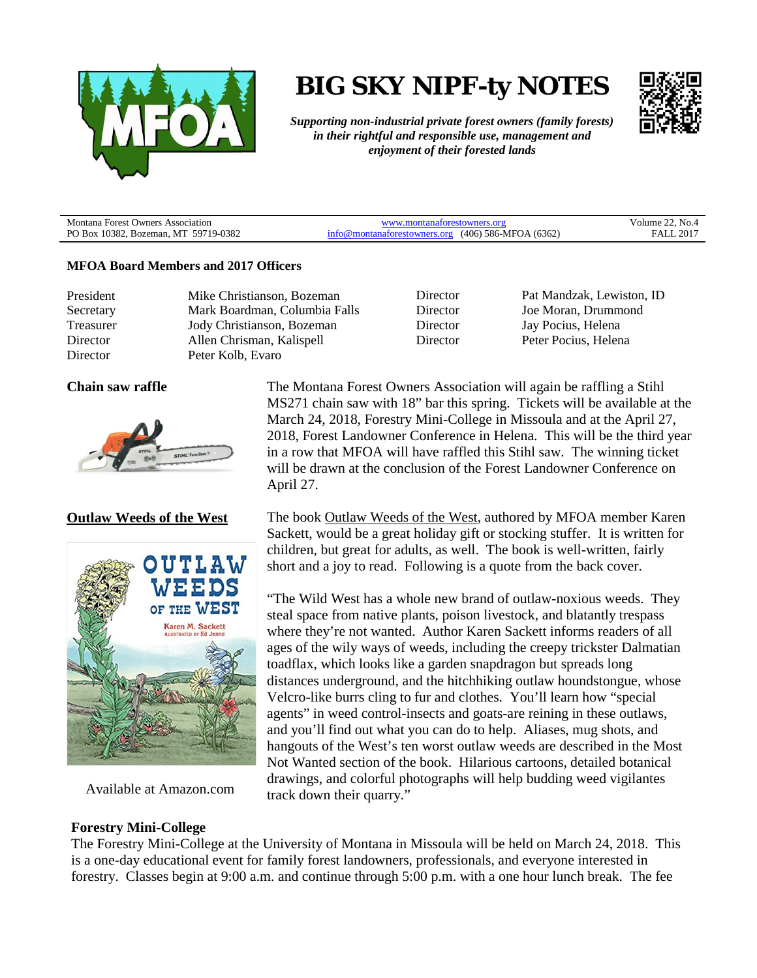

# **BIG SKY NIPF-ty NOTES**



*Supporting non-industrial private forest owners (family forests) in their rightful and responsible use, management and enjoyment of their forested lands*

Montana Forest Owners Association PO Box 10382, Bozeman, MT 59719-0382

[www.montanaforestowners.org](http://www.montanaforestowners.org/) [info@montanaforestowners.org](mailto:info@montanaforestowners.org) (406) 586-MFOA (6362) Volume 22, No.4 FALL 2017

#### **MFOA Board Members and 2017 Officers**

President Mike Christianson, Bozeman

Secretary Mark Boardman, Columbia Falls Treasurer Jody Christianson, Bozeman Director Allen Chrisman, Kalispell Director Peter Kolb, Evaro

Director Pat Mandzak, Lewiston, ID Director Joe Moran, Drummond Director Jay Pocius, Helena Director Peter Pocius, Helena



#### **Outlaw Weeds of the West**



Available at Amazon.com

**Forestry Mini-College**

**Chain saw raffle** The Montana Forest Owners Association will again be raffling a Stihl MS271 chain saw with 18" bar this spring. Tickets will be available at the March 24, 2018, Forestry Mini-College in Missoula and at the April 27, 2018, Forest Landowner Conference in Helena. This will be the third year in a row that MFOA will have raffled this Stihl saw. The winning ticket will be drawn at the conclusion of the Forest Landowner Conference on April 27.

> The book Outlaw Weeds of the West, authored by MFOA member Karen Sackett, would be a great holiday gift or stocking stuffer. It is written for children, but great for adults, as well. The book is well-written, fairly short and a joy to read. Following is a quote from the back cover.

> "The Wild West has a whole new brand of outlaw-noxious weeds. They steal space from native plants, poison livestock, and blatantly trespass where they're not wanted. Author Karen Sackett informs readers of all ages of the wily ways of weeds, including the creepy trickster Dalmatian toadflax, which looks like a garden snapdragon but spreads long distances underground, and the hitchhiking outlaw houndstongue, whose Velcro-like burrs cling to fur and clothes. You'll learn how "special agents" in weed control-insects and goats-are reining in these outlaws, and you'll find out what you can do to help. Aliases, mug shots, and hangouts of the West's ten worst outlaw weeds are described in the Most Not Wanted section of the book. Hilarious cartoons, detailed botanical drawings, and colorful photographs will help budding weed vigilantes track down their quarry."

The Forestry Mini-College at the University of Montana in Missoula will be held on March 24, 2018. This is a one-day educational event for family forest landowners, professionals, and everyone interested in forestry. Classes begin at 9:00 a.m. and continue through 5:00 p.m. with a one hour lunch break. The fee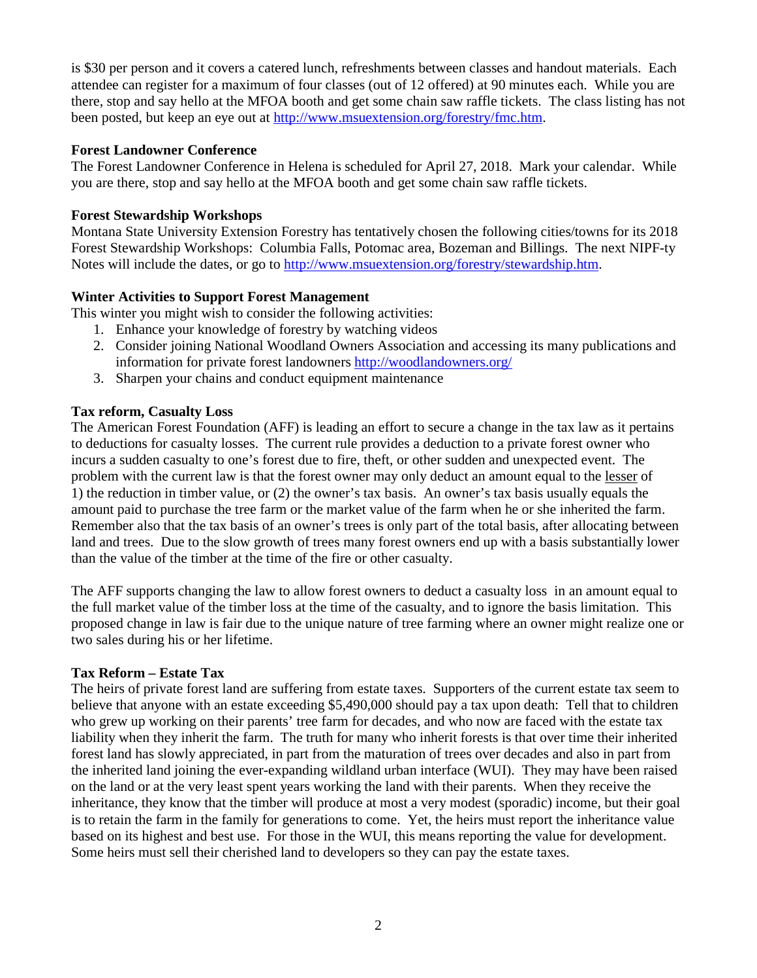is \$30 per person and it covers a catered lunch, refreshments between classes and handout materials. Each attendee can register for a maximum of four classes (out of 12 offered) at 90 minutes each. While you are there, stop and say hello at the MFOA booth and get some chain saw raffle tickets. The class listing has not been posted, but keep an eye out at [http://www.msuextension.org/forestry/fmc.htm.](http://www.msuextension.org/forestry/fmc.htm)

# **Forest Landowner Conference**

The Forest Landowner Conference in Helena is scheduled for April 27, 2018. Mark your calendar. While you are there, stop and say hello at the MFOA booth and get some chain saw raffle tickets.

## **Forest Stewardship Workshops**

Montana State University Extension Forestry has tentatively chosen the following cities/towns for its 2018 Forest Stewardship Workshops: Columbia Falls, Potomac area, Bozeman and Billings. The next NIPF-ty Notes will include the dates, or go to [http://www.msuextension.org/forestry/stewardship.htm.](http://www.msuextension.org/forestry/stewardship.htm)

# **Winter Activities to Support Forest Management**

This winter you might wish to consider the following activities:

- 1. Enhance your knowledge of forestry by watching videos
- 2. Consider joining National Woodland Owners Association and accessing its many publications and information for private forest landowners<http://woodlandowners.org/>
- 3. Sharpen your chains and conduct equipment maintenance

### **Tax reform, Casualty Loss**

The American Forest Foundation (AFF) is leading an effort to secure a change in the tax law as it pertains to deductions for casualty losses. The current rule provides a deduction to a private forest owner who incurs a sudden casualty to one's forest due to fire, theft, or other sudden and unexpected event. The problem with the current law is that the forest owner may only deduct an amount equal to the lesser of 1) the reduction in timber value, or (2) the owner's tax basis. An owner's tax basis usually equals the amount paid to purchase the tree farm or the market value of the farm when he or she inherited the farm. Remember also that the tax basis of an owner's trees is only part of the total basis, after allocating between land and trees. Due to the slow growth of trees many forest owners end up with a basis substantially lower than the value of the timber at the time of the fire or other casualty.

The AFF supports changing the law to allow forest owners to deduct a casualty loss in an amount equal to the full market value of the timber loss at the time of the casualty, and to ignore the basis limitation. This proposed change in law is fair due to the unique nature of tree farming where an owner might realize one or two sales during his or her lifetime.

#### **Tax Reform – Estate Tax**

The heirs of private forest land are suffering from estate taxes. Supporters of the current estate tax seem to believe that anyone with an estate exceeding \$5,490,000 should pay a tax upon death: Tell that to children who grew up working on their parents' tree farm for decades, and who now are faced with the estate tax liability when they inherit the farm. The truth for many who inherit forests is that over time their inherited forest land has slowly appreciated, in part from the maturation of trees over decades and also in part from the inherited land joining the ever-expanding wildland urban interface (WUI). They may have been raised on the land or at the very least spent years working the land with their parents. When they receive the inheritance, they know that the timber will produce at most a very modest (sporadic) income, but their goal is to retain the farm in the family for generations to come. Yet, the heirs must report the inheritance value based on its highest and best use. For those in the WUI, this means reporting the value for development. Some heirs must sell their cherished land to developers so they can pay the estate taxes.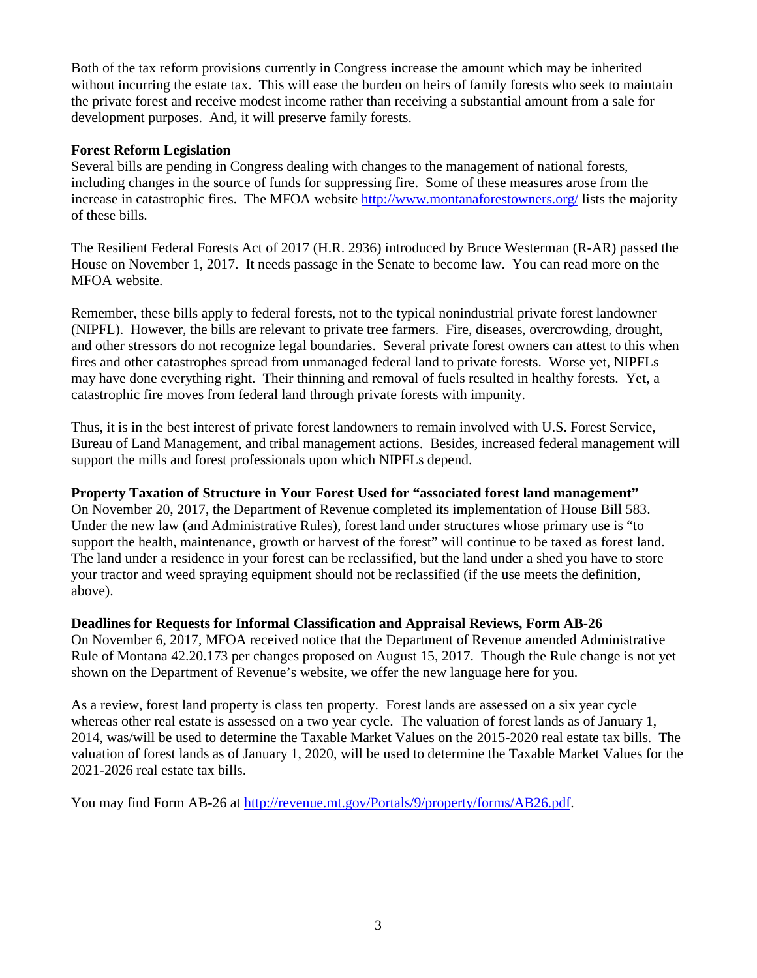Both of the tax reform provisions currently in Congress increase the amount which may be inherited without incurring the estate tax. This will ease the burden on heirs of family forests who seek to maintain the private forest and receive modest income rather than receiving a substantial amount from a sale for development purposes. And, it will preserve family forests.

# **Forest Reform Legislation**

Several bills are pending in Congress dealing with changes to the management of national forests, including changes in the source of funds for suppressing fire. Some of these measures arose from the increase in catastrophic fires. The MFOA website<http://www.montanaforestowners.org/> lists the majority of these bills.

The Resilient Federal Forests Act of 2017 (H.R. 2936) introduced by Bruce Westerman (R-AR) passed the House on November 1, 2017. It needs passage in the Senate to become law. You can read more on the MFOA website.

Remember, these bills apply to federal forests, not to the typical nonindustrial private forest landowner (NIPFL). However, the bills are relevant to private tree farmers. Fire, diseases, overcrowding, drought, and other stressors do not recognize legal boundaries. Several private forest owners can attest to this when fires and other catastrophes spread from unmanaged federal land to private forests. Worse yet, NIPFLs may have done everything right. Their thinning and removal of fuels resulted in healthy forests. Yet, a catastrophic fire moves from federal land through private forests with impunity.

Thus, it is in the best interest of private forest landowners to remain involved with U.S. Forest Service, Bureau of Land Management, and tribal management actions. Besides, increased federal management will support the mills and forest professionals upon which NIPFLs depend.

# **Property Taxation of Structure in Your Forest Used for "associated forest land management"**

On November 20, 2017, the Department of Revenue completed its implementation of House Bill 583. Under the new law (and Administrative Rules), forest land under structures whose primary use is "to support the health, maintenance, growth or harvest of the forest" will continue to be taxed as forest land. The land under a residence in your forest can be reclassified, but the land under a shed you have to store your tractor and weed spraying equipment should not be reclassified (if the use meets the definition, above).

# **Deadlines for Requests for Informal Classification and Appraisal Reviews, Form AB-26**

On November 6, 2017, MFOA received notice that the Department of Revenue amended Administrative Rule of Montana 42.20.173 per changes proposed on August 15, 2017. Though the Rule change is not yet shown on the Department of Revenue's website, we offer the new language here for you.

As a review, forest land property is class ten property. Forest lands are assessed on a six year cycle whereas other real estate is assessed on a two year cycle. The valuation of forest lands as of January 1, 2014, was/will be used to determine the Taxable Market Values on the 2015-2020 real estate tax bills. The valuation of forest lands as of January 1, 2020, will be used to determine the Taxable Market Values for the 2021-2026 real estate tax bills.

You may find Form AB-26 at [http://revenue.mt.gov/Portals/9/property/forms/AB26.pdf.](http://revenue.mt.gov/Portals/9/property/forms/AB26.pdf)